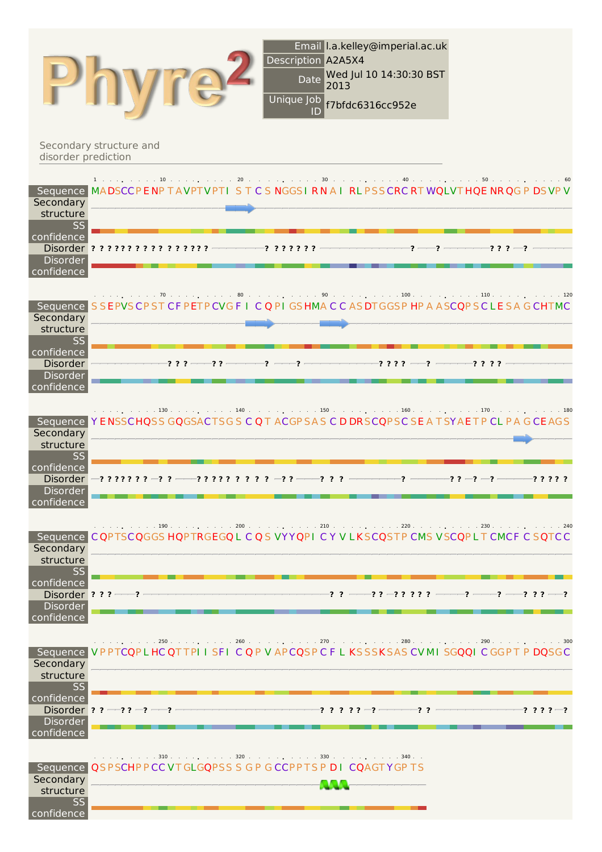|                                                         |                                              |    | Description A2A5X4<br>Date<br>2013<br>Unique Job<br>ID                                                | Email I.a.kelley@imperial.ac.uk<br>Wed Jul 10 14:30:30 BST<br>f7bfdc6316cc952e |                      |               |
|---------------------------------------------------------|----------------------------------------------|----|-------------------------------------------------------------------------------------------------------|--------------------------------------------------------------------------------|----------------------|---------------|
| disorder prediction                                     | Secondary structure and                      |    |                                                                                                       |                                                                                |                      |               |
| Secondary<br>structure<br><b>SS</b>                     | $1 \t\t\t\t \t\t\t\t \t\t\t \t\t\t10 \t\t\t$ | 20 | 30<br>Sequence MADSCCPENP TAVPTVPTI STCS NGGSIRNAIRLPSSCRCRTWQLVTHQENRQGPDSVPV                        | 40.                                                                            |                      |               |
| confidence<br>Disorder<br>confidence                    | Disorder ? ? ? ? ? ? ? ? ? ? ? ? ? ? ?       |    | -? ? ? ? ? ? ?                                                                                        | -2 -<br>-? -                                                                   | $-2.2.7 - -2$        |               |
| Secondary<br>structure<br><b>SS</b>                     |                                              |    | Sequence SSEPVSCPSTCFPETPCVGFICQPIGSHMACCASDTGGSPHPAASCQPSCLESAGCHTMC                                 |                                                                                |                      |               |
| confidence<br><b>Disorder</b><br>Disorder<br>confidence |                                              |    |                                                                                                       | ????-                                                                          | ????                 |               |
| Secondary<br>structure<br><b>SS</b>                     |                                              |    | 130. 140. 150. 160. 170.<br>Sequence YENSSCHQSS GQGSACTSGS CQT ACGPSAS CDDRSCQPSCSEATSYAETPCLPAGCEAGS |                                                                                |                      |               |
| confidence<br>Disorder<br><b>Disorder</b><br>confidence |                                              |    |                                                                                                       |                                                                                |                      | ?????         |
| Sequence<br>Secondary<br>structure<br><b>SS</b>         |                                              |    | COPTSCOGGS HOPTRGEGOL C Q S VYYOPI C Y V LKSCOSTP CMS VSCOPLT CMCF C SOTCC                            |                                                                                |                      |               |
| confidence<br><b>Disorder</b><br>confidence             | Disorder $? ? ? — - ?$                       |    |                                                                                                       | -? ? ———? ? —? ? ? ? ? ——                                                      | —? ——? ?? ——?<br>? - |               |
| Secondary<br>structure                                  |                                              |    | . 250 260 270 280 300<br>Sequence VPPTCQPLHCQTTPIISFICQPVAPCQSPCFLKSSSKSASCVMISGQQICGGPTPDQSGC        |                                                                                |                      |               |
| SS<br>confidence<br>Disorder<br>confidence              | Disorder ? ? --? ? -? --?                    |    | $\cdot$ ? ? ? ? $\cdot$ $\cdot$ $\cdot$ $\cdot$ $\cdot$                                               | -??                                                                            |                      | $? ? ? ? - ?$ |
| Secondary<br>structure<br><b>SS</b><br>confidence       |                                              |    | Sequence QSPSCHPPCCVTGLGQPSS SGPGCCPPTSPDICQAGTYGPTS                                                  |                                                                                |                      |               |